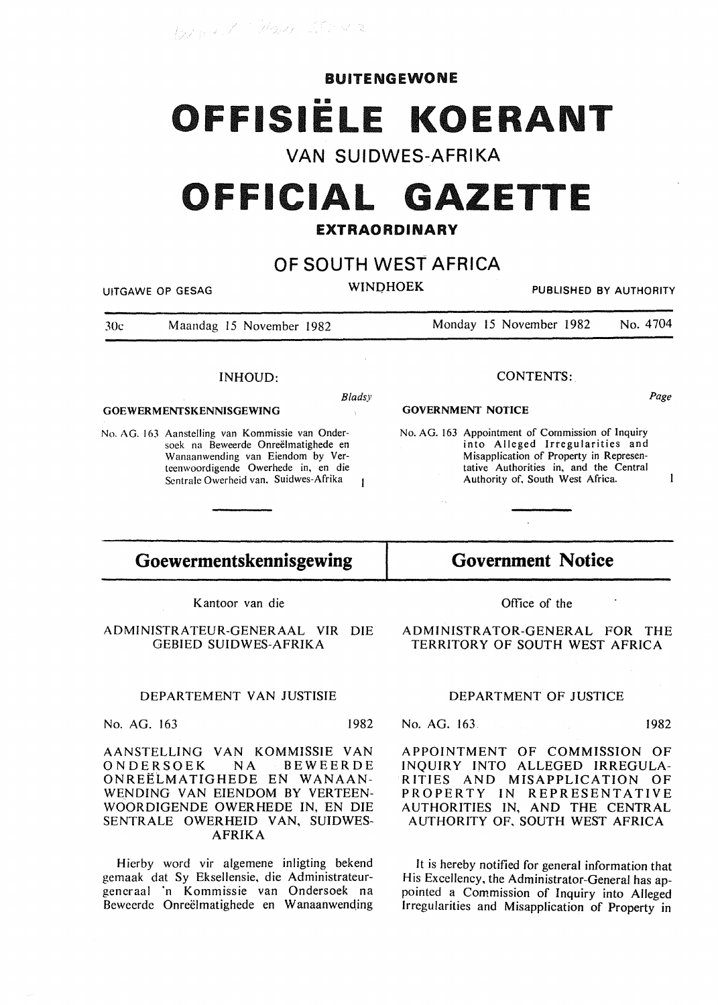Burnet Hay 20142

#### BUITENGEWONE

# OFFISIËLE KOERANT

### **VAN SUIDWES-AFRIKA**

## **OFFICIAL GAZETTE**

#### EXTRAORDINARY

## **OF SOUTH WEST AFRICA**

UITGAWE OP GESAG

WINDHOEK PUBLISHED BY AUTHORITY

30c Maandag 15 November 1982 Monday 15 November 1982 No. 4704

*Bladsy* 

 $\overline{1}$ 

#### INHOUD:

#### GOEWERMENTSKENNISGEWING

No. AG. 163 Aanstelling van Kommissie van Ondersoek na Beweerde Onreëlmatighede en Wanaanwending van Eiendom by Verteenwoordigende Owerhede in, en die Scntrale Owerheid van. Suidwes-Afrika

#### CONTENTS:

#### GOVERNMENT NOTICE

No. AG. 163 Appointment of Commission of Inquiry into Alleged Irregularities and Misapplication of Property in Representative Authorities in, and the Central Authority of, South West Africa.

## **Goewermentskennisgewing**

Kantoor van die

ADMINISTRATEUR-GENERAAL VIR DIE GEBIED SUIDWES-AFRIKA

#### DEPARTEMENT VAN JUSTISIE

No. AG. 163 1982

AANSTELLING VAN KOMMISSIE VAN ONDERSOEK ONREELMATIGHEDE EN WANAAN-WENDING VAN EIENDOM BY VERTEEN-WOORDIGENDE OWERHEDE IN, EN DIE SENTRALE OWERHEID VAN, SUIDWES-AFRIKA

Hierby word vir algemene inligting bekend gemaak dat Sy Eksellensie, die Administrateurgcncraal 'n Kommissie van Ondersoek na Beweerde Onreëlmatighede en Wanaanwending

**Government Notice**  Office of the

 $\mathbb{R}^2$ 

ADMINISTRATOR-GENERAL FOR THE TERRITORY OF SOUTH WEST AFRICA

#### DEPARTMENT OF JUSTICE

No. AG. 163. 1982

APPOINTMENT OF COMMISSION OF INQUIRY INTO ALLEGED IRREGULA-RITIES AND MISAPPLICATION OF PROPERTY IN REPRESENTATIVE AUTHORITIES IN, AND THE CENTRAL AUTHORITY OF. SOUTH WEST AFRICA

It is hereby notified for general information that His Excellency, the Administrator-General has appointed a Commission of Inquiry into Alleged Irregularities and Misapplication of Property in

Page

 $\mathbf{I}$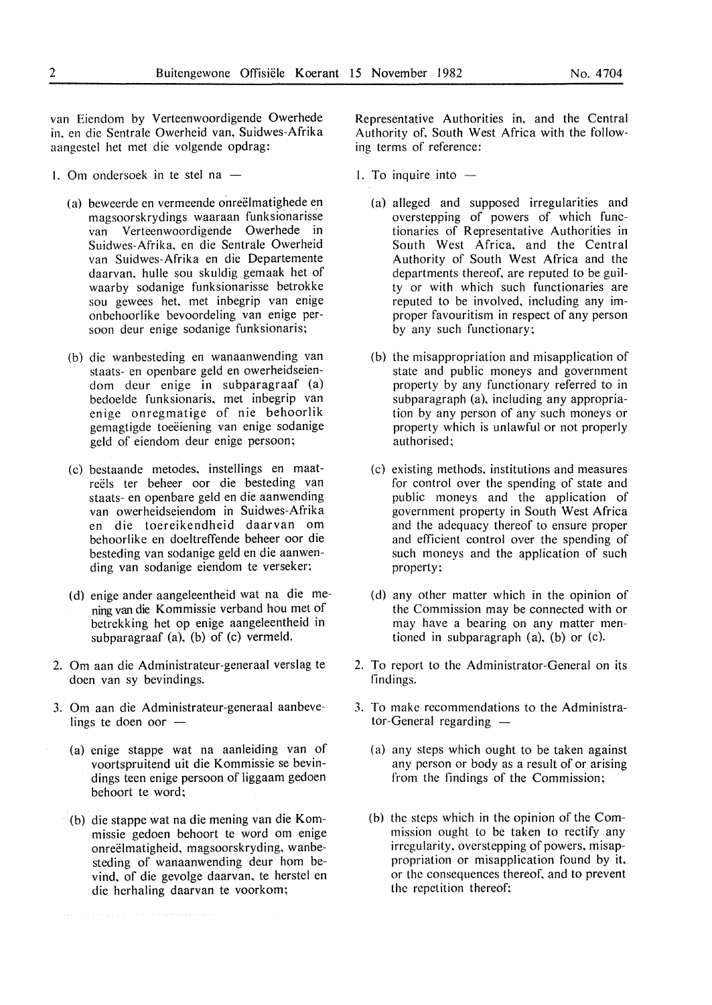van Eiendom by Verteenwoordigende Owerhede in. en die Sentrale Owerheid van, Suidwes-Afrika aangestel het met die volgende opdrag:

- 1. Om ondersoek in te stel na  $-$ 
	- (a) beweerde en vermeende onreëlmatighede en magsoorskrydings waaraan funksionarisse van Verteenwoordigende Owerhede in Suidwes-Afrika, en die Sentrale Owerheid van Suidwes-Afrika en die Departemente daarvan, hulle sou skuldig gemaak het of waarby sodanige funksionarisse betrokke sou gewees het, met inbegrip van enige onbehoorlike bevoordeling van enige persoon deur enige sodanige funksionaris;
	- (b) die wanbesteding en wanaanwending van staats- en openbare geld en owerheidseiendom deur enige in subparagraaf (a) bedoelde funksionaris, met inbegrip van enige onregmatige of nie behoorlik gemagtigde toeëiening van enige sodanige geld of eiendom deur enige persoon;
	- (c) bestaande metodes, instellings en maatreëls ter beheer oor die besteding van staats- en openbare geld en die aanwending van owerheidseiendom in Suidwes-Afrika en die toereikendheid daarvan om behoorlike en doeltreffende beheer oor die besteding van sodanige geld en die aanwending van sodanige eiendom te verseker;
	- (d) enige ander aangeleentheid wat na die mening van die Kommissie verband hou met of betrekking het op enige aangeleentheid in subparagraaf (a), (b) of (c) vermeld.
- 2. Om aan die Administrateur-generaal verslag te doen van sy bevindings.
- 3. Om aan die Administrateur-generaal aanbevelings te doen oor -
	- (a) enige stappe wat na aanleiding van of voortspruitend uit die Kommissie se bevindings teen enige persoon of liggaam gedoen behoort te word;
	- (b) die stappe wat na die mening van die Kommissie gedoen behoort te word om enige onreëlmatigheid, magsoorskryding, wanbesteding of wanaanwending deur hom bevind, of die gevolge daarvan, te herstel en die herhaling daarvan te voorkom;

Representative Authorities in, and the Central Authority of, South West Africa with the following terms of reference:

- 1. To inquire into  $-$ 
	- (a) alleged and supposed irregularities and overstepping of powers of which functionaries of Representative Authorities in South West Africa, and the Central Authority of South West Africa and the departments thereof, are reputed to be guilty or with which such functionaries are reputed to be involved, including any improper favouritism in respect of any person by any such functionary;
	- (b) the misappropriation and misapplication of state and public moneys and government property by any functionary referred to in subparagraph (a), including any appropriation by any person of any such moneys or property which is unlawful or not properly authorised:
	- (c) existing methods, institutions and measures for control over the spending of state and public moneys and the application of government property in South West Africa and the adequacy thereof to ensure proper and efficient control over the spending of such moneys and the application of such property;
	- (d) any other matter which in the opinion of the Commission may be connected with or may have a bearing on any matter mentioned in subparagraph (a), (b) or (c).
- 2. To report to the Administrator-General on its findings.
- 3. To make recommendations to the Administra $tor$ -General regarding  $-$ 
	- (a) any steps which ought to be taken against any person or body as a result of or arising from the findings of the Commission;
	- (b) the steps which in the opinion of the Commission ought to be taken to rectify any irregularity, overstepping of powers, misappropriation or misapplication found by it, or the consequences thereof, and to prevent the repetition thereof;